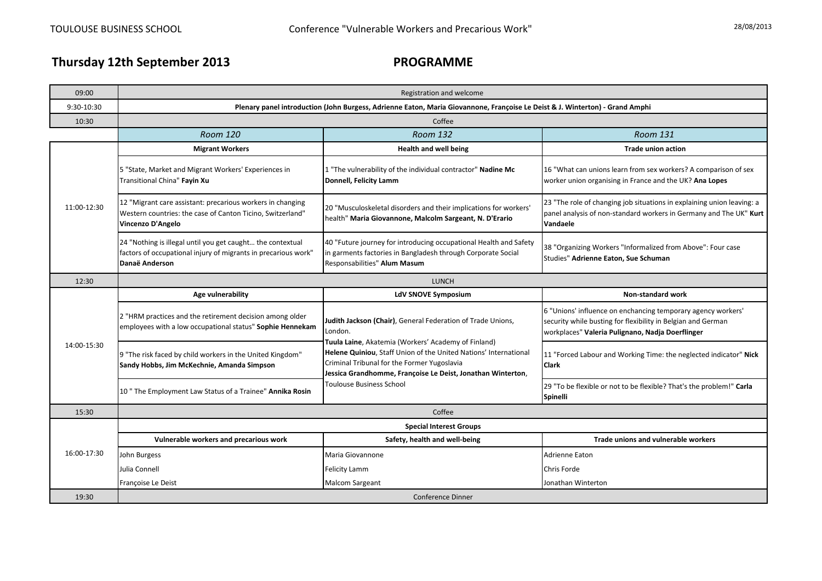## **Thursday 12th September 2013**

## **PROGRAMME**

| 09:00       | Registration and welcome                                                                                                                       |                                                                                                                                                                                                                                                                                                                                             |                                                                                                                                                                                  |  |
|-------------|------------------------------------------------------------------------------------------------------------------------------------------------|---------------------------------------------------------------------------------------------------------------------------------------------------------------------------------------------------------------------------------------------------------------------------------------------------------------------------------------------|----------------------------------------------------------------------------------------------------------------------------------------------------------------------------------|--|
| 9:30-10:30  | Plenary panel introduction (John Burgess, Adrienne Eaton, Maria Giovannone, Françoise Le Deist & J. Winterton) - Grand Amphi                   |                                                                                                                                                                                                                                                                                                                                             |                                                                                                                                                                                  |  |
| 10:30       | Coffee                                                                                                                                         |                                                                                                                                                                                                                                                                                                                                             |                                                                                                                                                                                  |  |
|             | <b>Room 120</b>                                                                                                                                | <b>Room 132</b>                                                                                                                                                                                                                                                                                                                             | Room 131                                                                                                                                                                         |  |
| 11:00-12:30 | <b>Migrant Workers</b>                                                                                                                         | <b>Health and well being</b>                                                                                                                                                                                                                                                                                                                | <b>Trade union action</b>                                                                                                                                                        |  |
|             | 5 "State, Market and Migrant Workers' Experiences in<br>Transitional China" Fayin Xu                                                           | 1 "The vulnerability of the individual contractor" Nadine Mc<br>Donnell, Felicity Lamm                                                                                                                                                                                                                                                      | 16 "What can unions learn from sex workers? A comparison of sex<br>worker union organising in France and the UK? Ana Lopes                                                       |  |
|             | 12 "Migrant care assistant: precarious workers in changing<br>Western countries: the case of Canton Ticino, Switzerland"<br>Vincenzo D'Angelo  | 20 "Musculoskeletal disorders and their implications for workers'<br>health" Maria Giovannone, Malcolm Sargeant, N. D'Erario                                                                                                                                                                                                                | 23 "The role of changing job situations in explaining union leaving: a<br>panel analysis of non-standard workers in Germany and The UK" Kurt<br>Vandaele                         |  |
|             | 24 "Nothing is illegal until you get caught the contextual<br>factors of occupational injury of migrants in precarious work"<br>Danaë Anderson | 40 "Future journey for introducing occupational Health and Safety<br>in garments factories in Bangladesh through Corporate Social<br>Responsabilities" Alum Masum                                                                                                                                                                           | 38 "Organizing Workers "Informalized from Above": Four case<br>Studies" Adrienne Eaton, Sue Schuman                                                                              |  |
| 12:30       | <b>LUNCH</b>                                                                                                                                   |                                                                                                                                                                                                                                                                                                                                             |                                                                                                                                                                                  |  |
|             | Age vulnerability                                                                                                                              | <b>LdV SNOVE Symposium</b>                                                                                                                                                                                                                                                                                                                  | <b>Non-standard work</b>                                                                                                                                                         |  |
| 14:00-15:30 | 2 "HRM practices and the retirement decision among older<br>employees with a low occupational status" Sophie Hennekam                          | Judith Jackson (Chair), General Federation of Trade Unions,<br>London.<br>Tuula Laine, Akatemia (Workers' Academy of Finland)<br>Helene Quiniou, Staff Union of the United Nations' International<br>Criminal Tribunal for the Former Yugoslavia<br>Jessica Grandhomme, Françoise Le Deist, Jonathan Winterton,<br>Toulouse Business School | 6 "Unions' influence on enchancing temporary agency workers'<br>security while busting for flexibility in Belgian and German<br>workplaces" Valeria Pulignano, Nadia Doerflinger |  |
|             | 9 "The risk faced by child workers in the United Kingdom"<br>Sandy Hobbs, Jim McKechnie, Amanda Simpson                                        |                                                                                                                                                                                                                                                                                                                                             | 11 "Forced Labour and Working Time: the neglected indicator" Nick<br><b>Clark</b>                                                                                                |  |
|             | 10" The Employment Law Status of a Trainee" Annika Rosin                                                                                       |                                                                                                                                                                                                                                                                                                                                             | 29 "To be flexible or not to be flexible? That's the problem!" Carla<br>Spinelli                                                                                                 |  |
| 15:30       | Coffee                                                                                                                                         |                                                                                                                                                                                                                                                                                                                                             |                                                                                                                                                                                  |  |
| 16:00-17:30 | <b>Special Interest Groups</b>                                                                                                                 |                                                                                                                                                                                                                                                                                                                                             |                                                                                                                                                                                  |  |
|             | Vulnerable workers and precarious work                                                                                                         | Safety, health and well-being                                                                                                                                                                                                                                                                                                               | Trade unions and vulnerable workers                                                                                                                                              |  |
|             | John Burgess                                                                                                                                   | Maria Giovannone                                                                                                                                                                                                                                                                                                                            | Adrienne Eaton                                                                                                                                                                   |  |
|             | Julia Connell                                                                                                                                  | <b>Felicity Lamm</b>                                                                                                                                                                                                                                                                                                                        | Chris Forde                                                                                                                                                                      |  |
|             | Françoise Le Deist                                                                                                                             | <b>Malcom Sargeant</b>                                                                                                                                                                                                                                                                                                                      | Jonathan Winterton                                                                                                                                                               |  |
| 19:30       | <b>Conference Dinner</b>                                                                                                                       |                                                                                                                                                                                                                                                                                                                                             |                                                                                                                                                                                  |  |